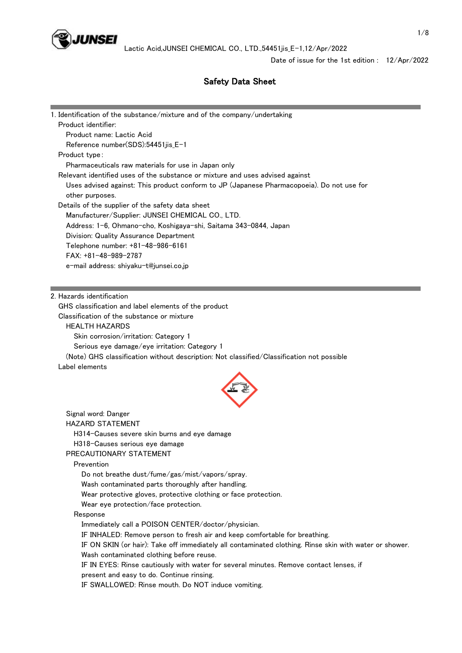

# Safety Data Sheet

| 1. Identification of the substance/mixture and of the company/undertaking                 |
|-------------------------------------------------------------------------------------------|
| Product identifier:                                                                       |
| Product name: Lactic Acid                                                                 |
| Reference number(SDS):54451jis_E-1                                                        |
| Product type:                                                                             |
| Pharmaceuticals raw materials for use in Japan only                                       |
| Relevant identified uses of the substance or mixture and uses advised against             |
| Uses advised against: This product conform to JP (Japanese Pharmacopoeia). Do not use for |
| other purposes.                                                                           |
| Details of the supplier of the safety data sheet                                          |
| Manufacturer/Supplier: JUNSEI CHEMICAL CO., LTD.                                          |
| Address: 1-6, Ohmano-cho, Koshigaya-shi, Saitama 343-0844, Japan                          |
| Division: Quality Assurance Department                                                    |
| Telephone number: +81-48-986-6161                                                         |
| $FAX: +81-48-989-2787$                                                                    |
| e-mail address: shiyaku-t@junsei.co.jp                                                    |
|                                                                                           |
|                                                                                           |
| 2. Hazards identification                                                                 |
| GHS classification and label elements of the product                                      |
| Classification of the substance or mixture                                                |
| <b>HEALTH HAZARDS</b>                                                                     |
| Skin corrosion/irritation: Category 1                                                     |
| Serious eye damage/eye irritation: Category 1                                             |

(Note) GHS classification without description: Not classified/Classification not possible

Label elements



# Signal word: Danger

HAZARD STATEMENT

H314-Causes severe skin burns and eye damage

 H318-Causes serious eye damage PRECAUTIONARY STATEMENT

Prevention

Do not breathe dust/fume/gas/mist/vapors/spray.

Wash contaminated parts thoroughly after handling.

Wear protective gloves, protective clothing or face protection.

Wear eye protection/face protection.

Response

Immediately call a POISON CENTER/doctor/physician.

IF INHALED: Remove person to fresh air and keep comfortable for breathing.

IF ON SKIN (or hair): Take off immediately all contaminated clothing. Rinse skin with water or shower.

Wash contaminated clothing before reuse.

IF IN EYES: Rinse cautiously with water for several minutes. Remove contact lenses, if

present and easy to do. Continue rinsing.

IF SWALLOWED: Rinse mouth. Do NOT induce vomiting.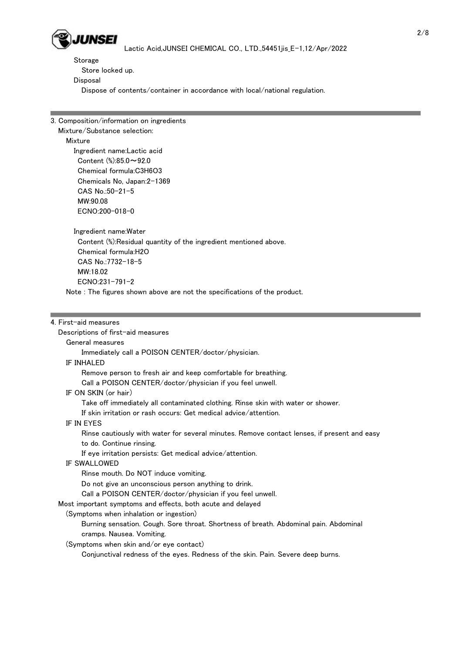

 Storage Store locked up. Disposal Dispose of contents/container in accordance with local/national regulation.

# 3. Composition/information on ingredients

 Mixture/Substance selection: Mixture Ingredient name:Lactic acid Content (%):85.0~92.0 Chemical formula:C3H6O3 Chemicals No, Japan:2-1369 CAS No.:50-21-5 MW:90.08 ECNO:200-018-0

 Ingredient name:Water Content (%):Residual quantity of the ingredient mentioned above. Chemical formula:H2O CAS No.:7732-18-5 MW:18.02 ECNO:231-791-2 Note : The figures shown above are not the specifications of the product.

## 4. First-aid measures

Descriptions of first-aid measures

#### General measures

Immediately call a POISON CENTER/doctor/physician.

#### IF INHALED

Remove person to fresh air and keep comfortable for breathing.

Call a POISON CENTER/doctor/physician if you feel unwell.

#### IF ON SKIN (or hair)

Take off immediately all contaminated clothing. Rinse skin with water or shower.

If skin irritation or rash occurs: Get medical advice/attention.

# IF IN EYES

 Rinse cautiously with water for several minutes. Remove contact lenses, if present and easy to do. Continue rinsing.

If eye irritation persists: Get medical advice/attention.

```
 IF SWALLOWED
```
Rinse mouth. Do NOT induce vomiting.

Do not give an unconscious person anything to drink.

Call a POISON CENTER/doctor/physician if you feel unwell.

Most important symptoms and effects, both acute and delayed

(Symptoms when inhalation or ingestion)

 Burning sensation. Cough. Sore throat. Shortness of breath. Abdominal pain. Abdominal cramps. Nausea. Vomiting.

(Symptoms when skin and/or eye contact)

Conjunctival redness of the eyes. Redness of the skin. Pain. Severe deep burns.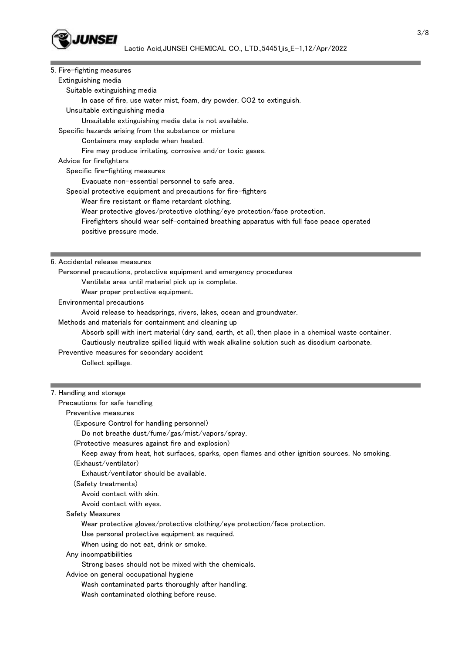

| 5. Fire-fighting measures                                                                            |
|------------------------------------------------------------------------------------------------------|
| Extinguishing media                                                                                  |
| Suitable extinguishing media                                                                         |
| In case of fire, use water mist, foam, dry powder, CO2 to extinguish.                                |
| Unsuitable extinguishing media                                                                       |
| Unsuitable extinguishing media data is not available.                                                |
| Specific hazards arising from the substance or mixture                                               |
| Containers may explode when heated.                                                                  |
| Fire may produce irritating, corrosive and/or toxic gases.                                           |
| Advice for firefighters                                                                              |
| Specific fire-fighting measures                                                                      |
| Evacuate non-essential personnel to safe area.                                                       |
| Special protective equipment and precautions for fire-fighters                                       |
| Wear fire resistant or flame retardant clothing.                                                     |
| Wear protective gloves/protective clothing/eye protection/face protection.                           |
| Firefighters should wear self-contained breathing apparatus with full face peace operated            |
| positive pressure mode.                                                                              |
|                                                                                                      |
|                                                                                                      |
| 6. Accidental release measures                                                                       |
| Personnel precautions, protective equipment and emergency procedures                                 |
| Ventilate area until material pick up is complete.                                                   |
| Wear proper protective equipment.                                                                    |
| Environmental precautions                                                                            |
| Avoid release to headsprings, rivers, lakes, ocean and groundwater.                                  |
| Methods and materials for containment and cleaning up                                                |
| Absorb spill with inert material (dry sand, earth, et al), then place in a chemical waste container. |
| Cautiously neutralize spilled liquid with weak alkaline solution such as disodium carbonate.         |
| Preventive measures for secondary accident                                                           |
| Collect spillage.                                                                                    |
|                                                                                                      |
|                                                                                                      |
| 7. Handling and storage                                                                              |
| Precautions for safe handling                                                                        |
| Preventive measures                                                                                  |
| (Exposure Control for handling personnel)                                                            |
| Do not breathe dust/fume/gas/mist/vapors/spray.                                                      |
| (Protective measures against fire and explosion)                                                     |
| Keep away from heat, hot surfaces, sparks, open flames and other ignition sources. No smoking.       |
| (Exhaust/ventilator)                                                                                 |

Exhaust/ventilator should be available.

(Safety treatments)

Avoid contact with skin.

Avoid contact with eyes.

Safety Measures

Wear protective gloves/protective clothing/eye protection/face protection.

Use personal protective equipment as required.

When using do not eat, drink or smoke.

#### Any incompatibilities

Strong bases should not be mixed with the chemicals.

Advice on general occupational hygiene

Wash contaminated parts thoroughly after handling.

Wash contaminated clothing before reuse.

and the control of the control of the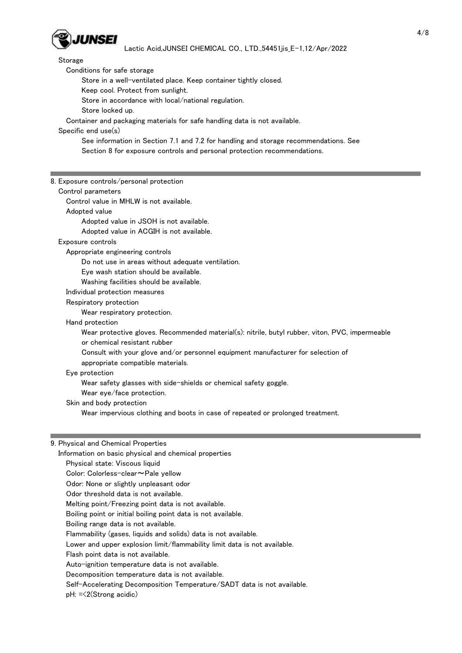

Storage

Conditions for safe storage

Store in a well-ventilated place. Keep container tightly closed.

Keep cool. Protect from sunlight.

Store in accordance with local/national regulation.

Store locked up.

Container and packaging materials for safe handling data is not available.

Specific end use(s)

 See information in Section 7.1 and 7.2 for handling and storage recommendations. See Section 8 for exposure controls and personal protection recommendations.

8. Exposure controls/personal protection Control parameters Control value in MHLW is not available. Adopted value Adopted value in JSOH is not available. Adopted value in ACGIH is not available. Exposure controls Appropriate engineering controls Do not use in areas without adequate ventilation. Eye wash station should be available. Washing facilities should be available. Individual protection measures Respiratory protection Wear respiratory protection. Hand protection Wear protective gloves. Recommended material(s): nitrile, butyl rubber, viton, PVC, impermeable or chemical resistant rubber Consult with your glove and/or personnel equipment manufacturer for selection of appropriate compatible materials. Eye protection Wear safety glasses with side-shields or chemical safety goggle. Wear eye/face protection. Skin and body protection Wear impervious clothing and boots in case of repeated or prolonged treatment. 9. Physical and Chemical Properties

 Information on basic physical and chemical properties Physical state: Viscous liquid Color: Colorless-clear~Pale yellow Odor: None or slightly unpleasant odor Odor threshold data is not available. Melting point/Freezing point data is not available. Boiling point or initial boiling point data is not available. Boiling range data is not available. Flammability (gases, liquids and solids) data is not available. Lower and upper explosion limit/flammability limit data is not available. Flash point data is not available. Auto-ignition temperature data is not available. Decomposition temperature data is not available. Self-Accelerating Decomposition Temperature/SADT data is not available.

pH: =<2(Strong acidic)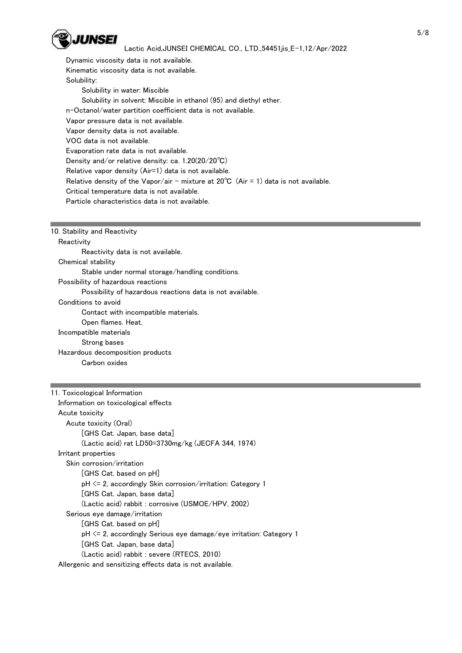

# Lactic Acid,JUNSEI CHEMICAL CO., LTD.,54451jis\_E-1,12/Apr/2022

 Dynamic viscosity data is not available. Kinematic viscosity data is not available. Solubility: Solubility in water: Miscible Solubility in solvent: Miscible in ethanol (95) and diethyl ether. n-Octanol/water partition coefficient data is not available. Vapor pressure data is not available. Vapor density data is not available. VOC data is not available. Evaporation rate data is not available. Density and/or relative density: ca. 1.20(20/20℃) Relative vapor density (Air=1) data is not available. Relative density of the Vapor/air - mixture at  $20^{\circ}$ C (Air = 1) data is not available. Critical temperature data is not available. Particle characteristics data is not available.

# 10. Stability and Reactivity

**Reactivity** 

Reactivity data is not available.

Chemical stability

Stable under normal storage/handling conditions.

Possibility of hazardous reactions

Possibility of hazardous reactions data is not available.

Conditions to avoid

Contact with incompatible materials.

Open flames. Heat.

Incompatible materials

Strong bases

 Hazardous decomposition products Carbon oxides

# 11. Toxicological Information

 Information on toxicological effects Acute toxicity Acute toxicity (Oral) [GHS Cat. Japan, base data] (Lactic acid) rat LD50=3730mg/kg (JECFA 344, 1974) Irritant properties Skin corrosion/irritation [GHS Cat. based on pH] pH <= 2, accordingly Skin corrosion/irritation: Category 1 [GHS Cat. Japan, base data] (Lactic acid) rabbit : corrosive (USMOE/HPV, 2002) Serious eye damage/irritation [GHS Cat. based on pH] pH <= 2, accordingly Serious eye damage/eye irritation: Category 1 [GHS Cat. Japan, base data] (Lactic acid) rabbit : severe (RTECS, 2010) Allergenic and sensitizing effects data is not available.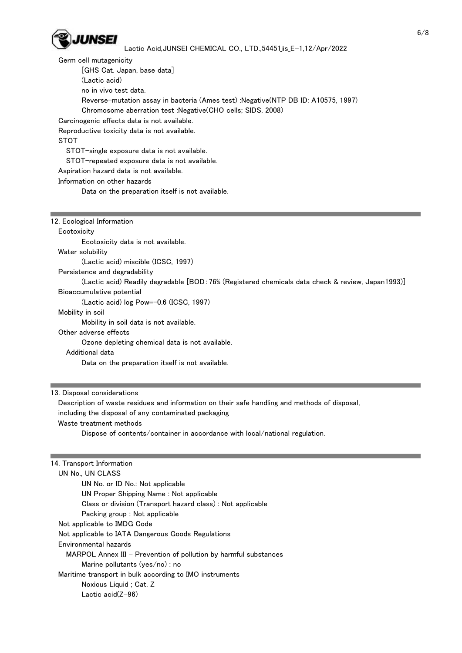

# Lactic Acid,JUNSEI CHEMICAL CO., LTD.,54451jis\_E-1,12/Apr/2022

 Germ cell mutagenicity [GHS Cat. Japan, base data] (Lactic acid) no in vivo test data. Reverse-mutation assay in bacteria (Ames test) :Negative(NTP DB ID: A10575, 1997) Chromosome aberration test :Negative(CHO cells; SIDS, 2008) Carcinogenic effects data is not available. Reproductive toxicity data is not available. STOT STOT-single exposure data is not available. STOT-repeated exposure data is not available. Aspiration hazard data is not available.

## Information on other hazards

Data on the preparation itself is not available.

#### 12. Ecological Information

Ecotoxicity

Ecotoxicity data is not available.

Water solubility

(Lactic acid) miscible (ICSC, 1997)

Persistence and degradability

(Lactic acid) Readily degradable [BOD:76% (Registered chemicals data check & review, Japan1993)]

Bioaccumulative potential

(Lactic acid) log Pow=-0.6 (ICSC, 1997)

#### Mobility in soil

Mobility in soil data is not available.

#### Other adverse effects

Ozone depleting chemical data is not available.

#### Additional data

Data on the preparation itself is not available.

#### 13. Disposal considerations

 Description of waste residues and information on their safe handling and methods of disposal, including the disposal of any contaminated packaging Waste treatment methods Dispose of contents/container in accordance with local/national regulation.

# 14. Transport Information

| UN No., UN CLASS                                                  |
|-------------------------------------------------------------------|
| UN No. or ID No.: Not applicable                                  |
| UN Proper Shipping Name: Not applicable                           |
| Class or division (Transport hazard class) : Not applicable       |
| Packing group : Not applicable                                    |
| Not applicable to IMDG Code                                       |
| Not applicable to IATA Dangerous Goods Regulations                |
| Environmental hazards                                             |
| $MAPOL$ Annex III – Prevention of pollution by harmful substances |
| Marine pollutants ( $ves/no$ ) : no                               |
| Maritime transport in bulk according to IMO instruments           |
| Noxious Liquid ; Cat. Z                                           |
| Lactic acid( $Z-96$ )                                             |
|                                                                   |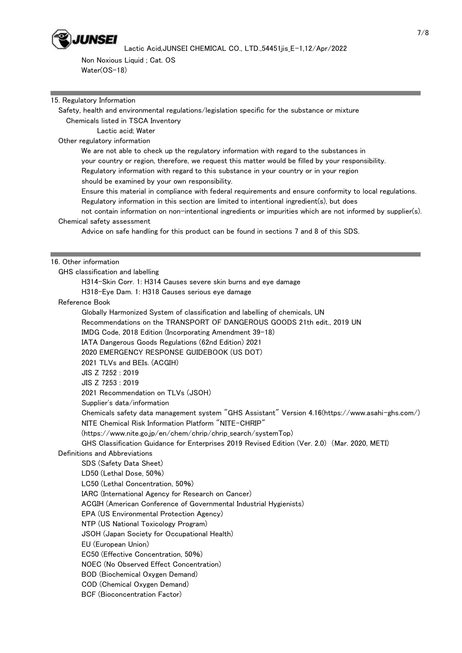

 Non Noxious Liquid ; Cat. OS Water(OS-18)

# 15. Regulatory Information

 Safety, health and environmental regulations/legislation specific for the substance or mixture Chemicals listed in TSCA Inventory

Lactic acid; Water

Other regulatory information

We are not able to check up the regulatory information with regard to the substances in

your country or region, therefore, we request this matter would be filled by your responsibility.

Regulatory information with regard to this substance in your country or in your region

should be examined by your own responsibility.

 Ensure this material in compliance with federal requirements and ensure conformity to local regulations. Regulatory information in this section are limited to intentional ingredient(s), but does

 not contain information on non-intentional ingredients or impurities which are not informed by supplier(s). Chemical safety assessment

Advice on safe handling for this product can be found in sections 7 and 8 of this SDS.

# 16. Other information

GHS classification and labelling

H314-Skin Corr. 1: H314 Causes severe skin burns and eye damage

H318-Eye Dam. 1: H318 Causes serious eye damage

Reference Book

 Globally Harmonized System of classification and labelling of chemicals, UN Recommendations on the TRANSPORT OF DANGEROUS GOODS 21th edit., 2019 UN IMDG Code, 2018 Edition (Incorporating Amendment 39-18) IATA Dangerous Goods Regulations (62nd Edition) 2021 2020 EMERGENCY RESPONSE GUIDEBOOK (US DOT) 2021 TLVs and BEIs. (ACGIH) JIS Z 7252 : 2019 JIS Z 7253 : 2019 2021 Recommendation on TLVs (JSOH) Supplier's data/information Chemicals safety data management system "GHS Assistant" Version 4.16(https://www.asahi-ghs.com/) NITE Chemical Risk Information Platform "NITE-CHRIP" (https://www.nite.go.jp/en/chem/chrip/chrip\_search/systemTop) GHS Classification Guidance for Enterprises 2019 Revised Edition (Ver. 2.0) (Mar. 2020, METI) Definitions and Abbreviations SDS (Safety Data Sheet) LD50 (Lethal Dose, 50%) LC50 (Lethal Concentration, 50%) IARC (International Agency for Research on Cancer) ACGIH (American Conference of Governmental Industrial Hygienists) EPA (US Environmental Protection Agency) NTP (US National Toxicology Program) JSOH (Japan Society for Occupational Health) EU (European Union) EC50 (Effective Concentration, 50%) NOEC (No Observed Effect Concentration) BOD (Biochemical Oxygen Demand) COD (Chemical Oxygen Demand) BCF (Bioconcentration Factor)